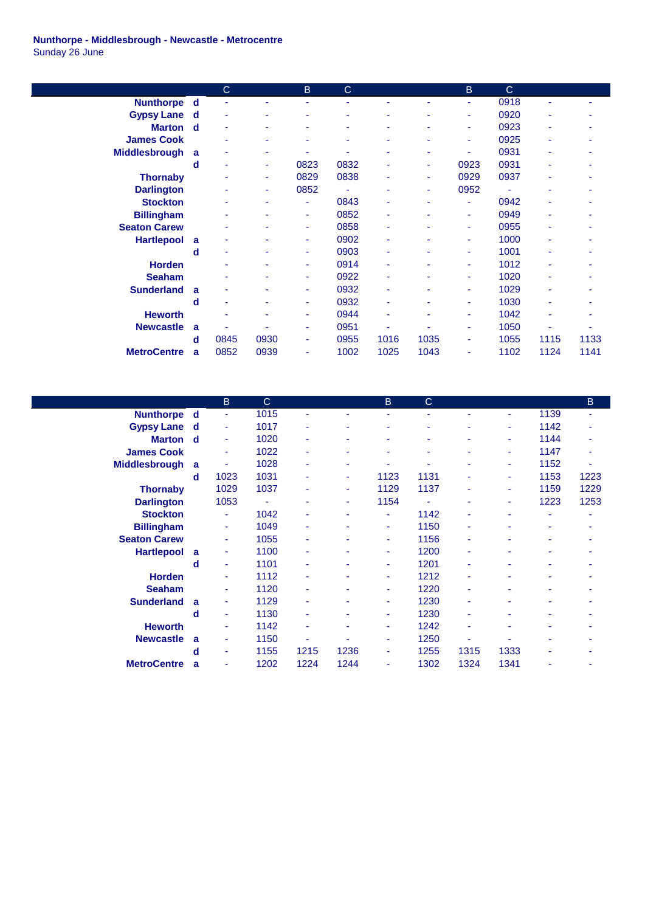## **Nunthorpe - Middlesbrough - Newcastle - Metrocentre** Sunday 26 June

|                      |   | $\mathbf C$ |      | B    | $\mathsf{C}$ |      |      | B    | $\mathbf C$ |      |      |
|----------------------|---|-------------|------|------|--------------|------|------|------|-------------|------|------|
| <b>Nunthorpe</b>     | d | ÷           |      | ٠    | ٠            |      |      | ٠    | 0918        | ٠    |      |
| <b>Gypsy Lane</b>    | d | ٠           | ٠    | ٠    | ۰            |      | ٠    | ۰    | 0920        | ۰    |      |
| <b>Marton</b>        | d | ٠           |      | ٠    |              |      |      | ٠    | 0923        | ۰    |      |
| <b>James Cook</b>    |   | ٠           |      | ۰    | ۰            |      |      | ٠    | 0925        | ۰    |      |
| <b>Middlesbrough</b> | a |             | ٠    |      |              | ۰    | ۰    | ۰    | 0931        | ۰    |      |
|                      | d | ٠           | ٠    | 0823 | 0832         | ٠    | ٠    | 0923 | 0931        | ۰    |      |
| <b>Thornaby</b>      |   |             | ٠    | 0829 | 0838         |      | ٠    | 0929 | 0937        | ۰    |      |
| <b>Darlington</b>    |   |             | ٠    | 0852 |              | ۰    | ۰    | 0952 | ٠           | ۰    |      |
| <b>Stockton</b>      |   | ۰           | ٠    | ٠    | 0843         | ۰    | ٠    | ٠    | 0942        | ۰    |      |
| <b>Billingham</b>    |   |             |      | ٠    | 0852         | ٠    |      | ٠    | 0949        |      |      |
| <b>Seaton Carew</b>  |   |             |      | ٠    | 0858         | ۰    |      | ٠    | 0955        | ۰    |      |
| <b>Hartlepool</b>    | a | ۰           | ٠    | ٠    | 0902         | ٠    | ٠    | ٠    | 1000        | ۰    |      |
|                      | d |             |      | ٠    | 0903         | ٠    |      | ٠    | 1001        |      |      |
| <b>Horden</b>        |   |             |      | ٠    | 0914         |      |      | ٠    | 1012        |      |      |
| <b>Seaham</b>        |   | ٠           | ٠    | ٠    | 0922         | ٠    | ٠    | ٠    | 1020        | ۰    |      |
| <b>Sunderland</b>    | a | ۰           | ٠    | ٠    | 0932         | ۰    | ٠    | ٠    | 1029        | ٠    |      |
|                      | d | ۰           |      | ٠    | 0932         | ٠    |      | ٠    | 1030        |      |      |
| <b>Heworth</b>       |   | ٠           | ٠    | ٠    | 0944         | ٠    | ۰    | ٠    | 1042        | ۰    | ۰    |
| <b>Newcastle</b>     | a |             | ۰    | ٠    | 0951         | ۰    | ۰    | ٠    | 1050        |      |      |
|                      | d | 0845        | 0930 | ٠    | 0955         | 1016 | 1035 | ٠    | 1055        | 1115 | 1133 |
| <b>MetroCentre</b>   | a | 0852        | 0939 | ٠    | 1002         | 1025 | 1043 | ۰    | 1102        | 1124 | 1141 |

|                      |              | B    | C      |      |      | B    | C                        |      |      |      | B    |
|----------------------|--------------|------|--------|------|------|------|--------------------------|------|------|------|------|
| <b>Nunthorpe</b>     | d            | ٠    | 1015   | ٠    | ٠    | ٠    | $\overline{\phantom{0}}$ | ٠    | ٠    | 1139 | ٠    |
| <b>Gypsy Lane</b>    | d            | ٠    | 1017   | ٠    | ۰    | ۰    |                          | ۰    | ٠    | 1142 |      |
| <b>Marton</b>        | d            | ٠    | 1020   | ٠    | ٠    | ٠    | ٠                        | ٠    | ٠    | 1144 |      |
| <b>James Cook</b>    |              | ٠    | 1022   | ٠    | ٠    | ٠    | ٠                        | ٠    | ۰    | 1147 | ٠    |
| <b>Middlesbrough</b> | a            | ۰    | 1028   | ٠    | ٠    | ٠    |                          | ۰    | ۰    | 1152 | ٠    |
|                      | d            | 1023 | 1031   | ٠    | ٠    | 1123 | 1131                     | ۰    | ٠    | 1153 | 1223 |
| <b>Thornaby</b>      |              | 1029 | 1037   | ٠    | ۰    | 1129 | 1137                     | ۰    | ٠    | 1159 | 1229 |
| <b>Darlington</b>    |              | 1053 | $\sim$ | ٠    | ٠    | 1154 | $\sim$                   | ۰    | ۰    | 1223 | 1253 |
| <b>Stockton</b>      |              | ٠    | 1042   | ٠    | ۰    | ٠    | 1142                     | ۰    | ۰    | ۰    |      |
| <b>Billingham</b>    |              | ٠    | 1049   | ٠    |      | ٠    | 1150                     | ٠    | ٠    |      |      |
| <b>Seaton Carew</b>  |              | ٠    | 1055   | ٠    | ٠    | ٠    | 1156                     | ٠    | ٠    | ٠    |      |
| <b>Hartlepool</b>    | a            | ٠    | 1100   | ٠    | ۰    | ٠    | 1200                     | ۰    | ۰    | ۰    |      |
|                      | d            | ٠    | 1101   | ٠    | ۰    | ٠    | 1201                     | ٠    | ۰    |      |      |
| <b>Horden</b>        |              | ۰    | 1112   | ۰    | ۰    | ٠    | 1212                     | ۰    | ۰    | ۰    |      |
| <b>Seaham</b>        |              | ٠    | 1120   | ٠    | ٠    | ٠    | 1220                     | ۰    | ۰    | ۰    |      |
| <b>Sunderland</b>    | $\mathbf{a}$ | ٠    | 1129   | ٠    | ۰    | ٠    | 1230                     | ۰    | ۰    |      |      |
|                      | d            | ٠    | 1130   | ٠    |      | ٠    | 1230                     | ٠    | ۰    | ۰    |      |
| <b>Heworth</b>       |              | ٠    | 1142   | ٠    | ۰    | ۰    | 1242                     | ۰    | ۰    | ٠    |      |
| <b>Newcastle</b>     | $\mathbf{a}$ | ٠    | 1150   | ٠    | ٠    | ٠    | 1250                     | ٠    | ٠    |      |      |
|                      | d            | ۰    | 1155   | 1215 | 1236 | ٠    | 1255                     | 1315 | 1333 |      |      |
| <b>MetroCentre</b>   | a            | ٠    | 1202   | 1224 | 1244 | ٠    | 1302                     | 1324 | 1341 | ۰    |      |
|                      |              |      |        |      |      |      |                          |      |      |      |      |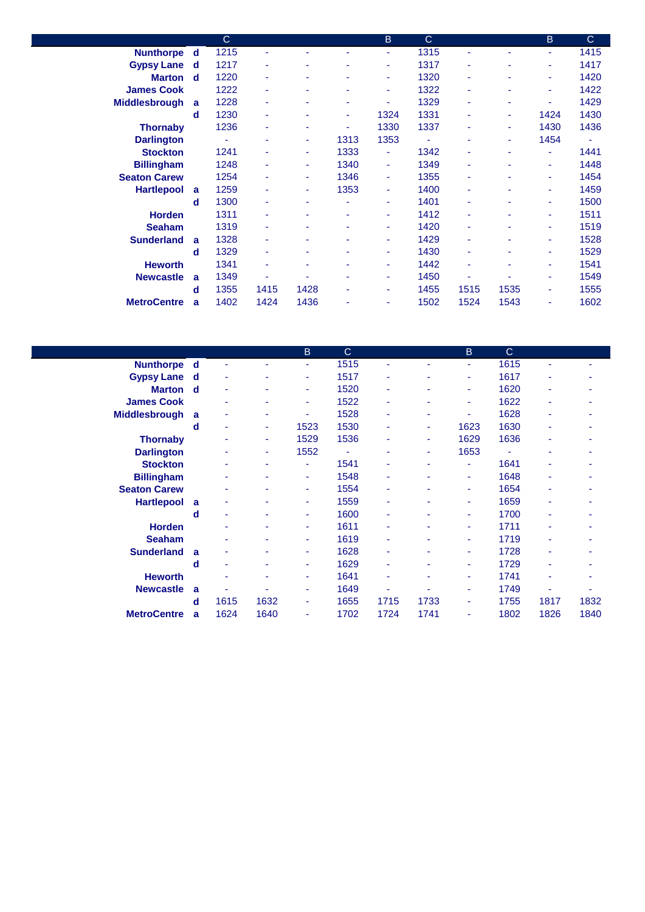|                      |   | $\mathsf{C}$ |      |      |      | <sub>B</sub> | $\mathsf{C}$   |      |      | B      | $\mathsf{C}$ |
|----------------------|---|--------------|------|------|------|--------------|----------------|------|------|--------|--------------|
| <b>Nunthorpe</b>     | d | 1215         | ٠    |      | ٠    | ٠            | 1315           | ٠    | ٠    | ٠      | 1415         |
| <b>Gypsy Lane</b>    | d | 1217         | ۰    | ٠    | ٠    | ٠            | 1317           | ٠    |      | ٠      | 1417         |
| <b>Marton</b>        | d | 1220         | ۰    |      | ٠    | ٠            | 1320           | ٠    |      | ٠      | 1420         |
| <b>James Cook</b>    |   | 1222         | ۰    |      | ٠    | ٠            | 1322           | ٠    |      | ٠      | 1422         |
| <b>Middlesbrough</b> | a | 1228         | ۰    | ٠    | ٠    | ٠            | 1329           | ٠    | ۰    | ٠      | 1429         |
|                      | d | 1230         | ٠    |      | ٠    | 1324         | 1331           |      | ۰    | 1424   | 1430         |
| <b>Thornaby</b>      |   | 1236         | ٠    |      | ٠    | 1330         | 1337           |      | ٠    | 1430   | 1436         |
| <b>Darlington</b>    |   | ÷            | ٠    | ٠    | 1313 | 1353         | $\blacksquare$ |      | ۰.   | 1454   | ٠            |
| <b>Stockton</b>      |   | 1241         |      | ٠    | 1333 | ٠            | 1342           |      | ۰    | $\sim$ | 1441         |
| <b>Billingham</b>    |   | 1248         | ۰    | ۰.   | 1340 | ٠            | 1349           | ۰    |      | $\sim$ | 1448         |
| <b>Seaton Carew</b>  |   | 1254         | ۰    | ٠    | 1346 | ٠            | 1355           | ٠    | ۰    | ٠      | 1454         |
| <b>Hartlepool</b>    | a | 1259         | ۰    | ٠    | 1353 | ٠            | 1400           |      |      | $\sim$ | 1459         |
|                      | d | 1300         | ۰    | ٠    | ٠    | ٠            | 1401           | ٠    | ٠    | ٠      | 1500         |
| <b>Horden</b>        |   | 1311         | ٠    |      | ٠    | ۰            | 1412           |      |      | ٠      | 1511         |
| <b>Seaham</b>        |   | 1319         | ۰    | ۰    | ٠    | ٠            | 1420           | ۰    | ٠    | ٠      | 1519         |
| <b>Sunderland</b>    | a | 1328         | ۰    |      | ٠    | ٠            | 1429           | ٠    | ٠    | ٠      | 1528         |
|                      | d | 1329         | ۰    |      | ٠    | ٠            | 1430           | ۰    |      | ٠      | 1529         |
| <b>Heworth</b>       |   | 1341         | ٠    | ٠    | ٠    | ٠            | 1442           | ä,   | ۰    | $\sim$ | 1541         |
| <b>Newcastle</b>     | a | 1349         |      |      | ٠    | ۰            | 1450           |      |      | ٠      | 1549         |
|                      | d | 1355         | 1415 | 1428 | ٠    | ٠            | 1455           | 1515 | 1535 | ٠      | 1555         |
| <b>MetroCentre</b>   | a | 1402         | 1424 | 1436 | ۰    | ٠            | 1502           | 1524 | 1543 | ٠      | 1602         |

|                      |             |      |      | B.   | $\mathsf{C}$   |      |      | B.   | $\mathbf C$ |      |      |
|----------------------|-------------|------|------|------|----------------|------|------|------|-------------|------|------|
| <b>Nunthorpe</b>     | d           | ÷    | ٠    | ٠    | 1515           | ٠    | ٠    | ٠    | 1615        | ٠    |      |
| <b>Gypsy Lane</b> d  |             | ٠    | ۰    | ۰    | 1517           | ٠    | ۰    | ٠    | 1617        | ٠    |      |
| <b>Marton</b>        | $\mathbf d$ | ٠    | ۰    | ٠    | 1520           | ٠    | ۰    | ٠    | 1620        | ۰    | ۰    |
| <b>James Cook</b>    |             | ٠    | ۰    | ÷    | 1522           | ٠    |      | ٠    | 1622        | ٠    |      |
| <b>Middlesbrough</b> | a           | ٠    | ٠    | ۰    | 1528           | ٠    | ٠    | ٠    | 1628        | ٠    | ۰    |
|                      | d           | ٠    | ٠    | 1523 | 1530           | ٠    | ٠    | 1623 | 1630        | ٠    | ۰    |
| <b>Thornaby</b>      |             | ٠    | ٠    | 1529 | 1536           |      | ٠    | 1629 | 1636        |      |      |
| <b>Darlington</b>    |             |      | ٠    | 1552 | $\blacksquare$ | ٠    | ٠    | 1653 | $\sim$      | ٠    |      |
| <b>Stockton</b>      |             |      | ٠    | ٠    | 1541           | ٠    | ٠    | ٠    | 1641        | ٠    |      |
| <b>Billingham</b>    |             | ٠    | ۰    | ٠    | 1548           |      |      | ٠    | 1648        | ۰    |      |
| <b>Seaton Carew</b>  |             | ٠    | ۰    | ۰    | 1554           | ٠    |      | ٠    | 1654        | ۰    |      |
| <b>Hartlepool</b>    | a           | ٠    | ۰    | ۰    | 1559           | ٠    |      | ٠    | 1659        | ۰    |      |
|                      | d           | ٠    | ٠    | ÷    | 1600           | ٠    |      | ٠    | 1700        |      |      |
| <b>Horden</b>        |             | ٠    | ۰    | ۰    | 1611           | ٠    | ۰    | ٠    | 1711        | ۰    |      |
| <b>Seaham</b>        |             | ۰    | ۰    | ٠    | 1619           | ٠    |      | ٠    | 1719        | ٠    |      |
| <b>Sunderland</b>    | a           | ٠    | ٠    | ٠    | 1628           | ٠    | ٠    | ٠    | 1728        |      |      |
|                      | d           | ٠    | ٠    | ۰    | 1629           | ٠    | ۰    | ٠    | 1729        | ۰    |      |
| <b>Heworth</b>       |             | ٠    | ٠    | ٠    | 1641           | ٠    | ٠    | ٠    | 1741        |      |      |
| <b>Newcastle</b>     | a           | ٠    | ٠    | ٠    | 1649           |      | ٠    | ۰    | 1749        | ۰    | ۰    |
|                      | d           | 1615 | 1632 | ۰    | 1655           | 1715 | 1733 | ٠    | 1755        | 1817 | 1832 |
| <b>MetroCentre</b>   | a           | 1624 | 1640 | ٠    | 1702           | 1724 | 1741 | ٠    | 1802        | 1826 | 1840 |